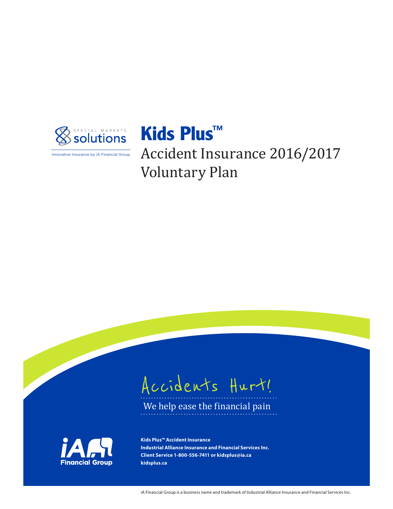

Innovative Insurance by iA Financial Group

# **Kids Plus™**

Accident Insurance 2016/2017 Voluntary Plan



We help ease the financial pain



**Kids Plus™ Accident Insurance Industrial Alliance Insurance and Financial Services Inc. Client Service 1-800-556-7411 or kidsplus@ia.ca kidsplus.ca**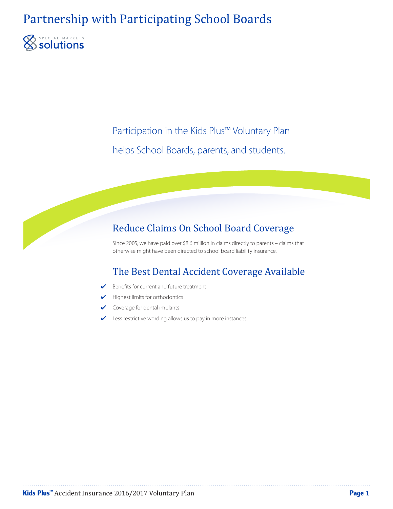### Partnership with Participating School Boards



Participation in the Kids Plus™ Voluntary Plan helps School Boards, parents, and students.

### Reduce Claims On School Board Coverage

Since 2005, we have paid over \$8.6 million in claims directly to parents – claims that otherwise might have been directed to school board liability insurance.

### The Best Dental Accident Coverage Available

- ✔ Benefits for current and future treatment
- ✔ Highest limits for orthodontics
- ✔ Coverage for dental implants
- Less restrictive wording allows us to pay in more instances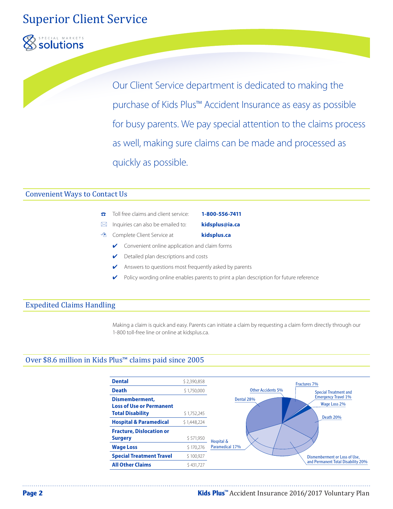### Superior Client Service



Our Client Service department is dedicated to making the purchase of Kids Plus™ Accident Insurance as easy as possible for busy parents. We pay special attention to the claims process as well, making sure claims can be made and processed as quickly as possible.

### Convenient Ways to Contact Us

- ☎ Toll free claims and client service: **1-800-556-7411**
- Inquiries can also be emailed to: **kidsplus@ia.ca**
- *C* Complete Client Service at **kidsplus.ca** 
	- $\checkmark$  Convenient online application and claim forms
	- ✔ Detailed plan descriptions and costs
	- ✔ Answers to questions most frequently asked by parents
	- $\triangleright$  Policy wording online enables parents to print a plan description for future reference

### Expedited Claims Handling

Making a claim is quick and easy. Parents can initiate a claim by requesting a claim form directly through our 1-800 toll-free line or online at kidsplus.ca.

### Over \$8.6 million in Kids Plus™ claims paid since 2005

| <b>Dental</b>                                     | \$2,390,858 | Fractures 7%                                              |
|---------------------------------------------------|-------------|-----------------------------------------------------------|
| <b>Death</b>                                      | \$1,750,000 | <b>Other Accidents 5%</b><br><b>Special Treatment and</b> |
| Dismemberment,<br><b>Loss of Use or Permanent</b> |             | <b>Emergency Travel 1%</b><br>Dental 28%<br>Wage Loss 2%  |
| <b>Total Disability</b>                           | \$1,752,245 | Death 20%                                                 |
| <b>Hospital &amp; Paramedical</b>                 | \$1,448,224 |                                                           |
| <b>Fracture, Dislocation or</b><br><b>Surgery</b> | \$571,950   |                                                           |
| <b>Wage Loss</b>                                  | \$170.276   | Hospital &<br>Paramedical 17%                             |
| <b>Special Treatment Travel</b>                   | \$100,927   | Dismemberment or Loss of Use,                             |
| <b>All Other Claims</b>                           | \$431,727   | and Permanent Total Disability 20%                        |
|                                                   |             |                                                           |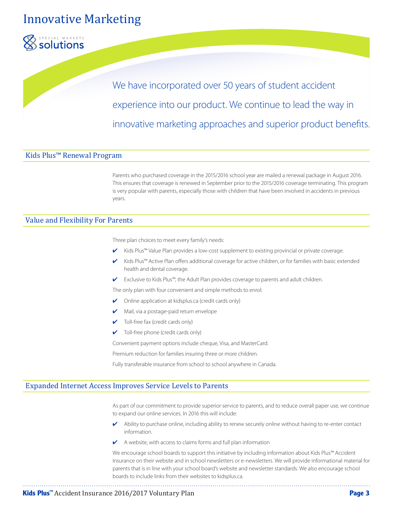### Innovative Marketing



We have incorporated over 50 years of student accident experience into our product. We continue to lead the way in innovative marketing approaches and superior product benefits.

### Kids Plus™ Renewal Program

Parents who purchased coverage in the 2015/2016 school year are mailed a renewal package in August 2016. This ensures that coverage is renewed in September prior to the 2015/2016 coverage terminating. This program is very popular with parents, especially those with children that have been involved in accidents in previous years.

### Value and Flexibility For Parents

Three plan choices to meet every family's needs:

- ✔ Kids Plus™ Value Plan provides a low-cost supplement to existing provincial or private coverage.
- ✔ Kids Plus™ Active Plan offers additional coverage for active children, or for families with basic extended health and dental coverage.
- ✔ Exclusive to Kids Plus™, the Adult Plan provides coverage to parents and adult children.

The only plan with four convenient and simple methods to enrol:

- ✔ Online application at kidsplus.ca (credit cards only)
- Mail, via a postage-paid return envelope
- Toll-free fax (credit cards only)
- Toll-free phone (credit cards only)

Convenient payment options include cheque, Visa, and MasterCard.

Premium reduction for families insuring three or more children.

Fully transferable insurance from school to school anywhere in Canada.

### Expanded Internet Access Improves Service Levels to Parents

As part of our commitment to provide superior service to parents, and to reduce overall paper use, we continue to expand our online services. In 2016 this will include:

- ✔ Ability to purchase online, including ability to renew securely online without having to re-enter contact information.
- A website, with access to claims forms and full plan information

We encourage school boards to support this initiative by including information about Kids Plus™ Accident Insurance on their website and in school newsletters or e-newsletters. We will provide informational material for parents that is in line with your school board's website and newsletter standards. We also encourage school boards to include links from their websites to kidsplus.ca.

### **Kids Plus™** Accident Insurance 2016/2017 Voluntary Plan **Page 3**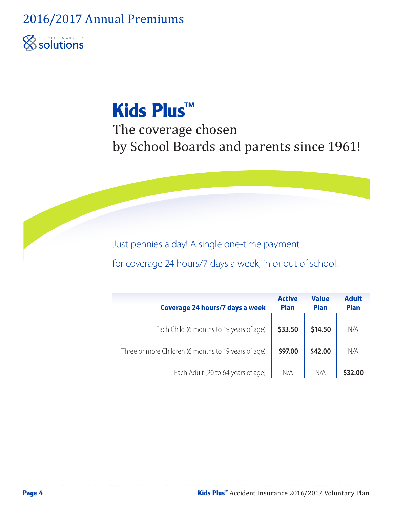2016/2017 Annual Premiums



# **Kids Plus™**

The coverage chosen by School Boards and parents since 1961!

Just pennies a day! A single one-time payment for coverage 24 hours/7 days a week, in or out of school.

| Coverage 24 hours/7 days a week                      | <b>Active</b><br><b>Plan</b> | <b>Value</b><br><b>Plan</b> | <b>Adult</b><br><b>Plan</b> |
|------------------------------------------------------|------------------------------|-----------------------------|-----------------------------|
| Each Child (6 months to 19 years of age)             | \$33.50                      | \$14.50                     | N/A                         |
| Three or more Children (6 months to 19 years of age) | \$97.00                      | \$42.00                     | N/A                         |
| Each Adult [20 to 64 years of age]                   | N/A                          | N/A                         | \$32.00                     |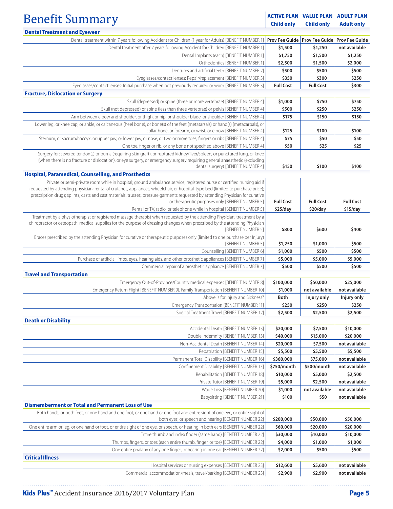## **Benefit Summary ACTIVE PLAN ACTIVE PLAN VALUE PLAN ADULT PLAN**

| ld only<br><b>Child only</b><br><b>Adult only</b> |  |
|---------------------------------------------------|--|
|---------------------------------------------------|--|

| <b>Dental Treatment and Eyewear</b>                                                                                                                                      |                     |                  |                  |
|--------------------------------------------------------------------------------------------------------------------------------------------------------------------------|---------------------|------------------|------------------|
| Dental treatment within 7 years following Accident for Children (1 year for Adults) [BENEFIT NUMBER 1] Prov Fee Guide   Prov Fee Guide   Prov Fee Guide   Prov Fee Guide |                     |                  |                  |
| Dental treatment after 7 years following Accident for Children [BENEFIT NUMBER 1]                                                                                        | \$1,500             | \$1,250          | not available    |
| Dental Implants (each) [BENEFIT NUMBER 1]                                                                                                                                | \$1,750             | \$1,500          | \$1,250          |
| Orthodontics [BENEFIT NUMBER 1]                                                                                                                                          | \$2,500             | \$1,500          | \$2,000          |
| Dentures and artificial teeth [BENEFIT NUMBER 2]                                                                                                                         | \$500               | \$500            | \$500            |
| Eyeglasses/contact lenses: Repair/replacement [BENEFIT NUMBER 3]                                                                                                         | \$350               | \$300            | \$250            |
| Eyeglasses/contact lenses: Initial purchase when not previously required or worn [BENEFIT NUMBER 3]                                                                      | <b>Full Cost</b>    | <b>Full Cost</b> | \$300            |
| <b>Fracture, Dislocation or Surgery</b>                                                                                                                                  |                     |                  |                  |
| Skull (depressed) or spine (three or more vertebrae) [BENEFIT NUMBER 4]                                                                                                  | \$1,000             | \$750            | \$750            |
| Skull (not depressed) or spine (less than three vertebrae) or pelvis [BENEFIT NUMBER 4]                                                                                  |                     |                  |                  |
|                                                                                                                                                                          | \$500               | \$250            | \$250            |
| Arm between elbow and shoulder, or thigh, or hip, or shoulder blade, or shoulder [BENEFIT NUMBER 4]                                                                      | \$175               | \$150            | \$150            |
| Lower leg, or knee cap, or ankle, or calcaneous (heel bone), or bone(s) of the feet (metatarsals) or hand(s) (metacarpals), or                                           |                     |                  |                  |
| collar bone, or forearm, or wrist, or elbow [BENEFIT NUMBER 4]                                                                                                           | \$125               | \$100            | \$100            |
| Sternum, or sacrum/coccyx, or upper jaw, or lower jaw, or nose, or two or more toes, fingers or ribs [BENEFIT NUMBER 4]                                                  | \$75                | \$50             | \$50             |
| One toe, finger or rib, or any bone not specified above [BENEFIT NUMBER 4]                                                                                               | \$50                | \$25             | \$25             |
| Surgery for: severed tendon(s) or burns (requiring skin graft), or ruptured kidney/liver/spleen, or punctured lung, or knee                                              |                     |                  |                  |
| (when there is no fracture or dislocation), or eye surgery, or emergency surgery requiring general anaesthetic (excluding                                                |                     |                  |                  |
| dental surgery) [BENEFIT NUMBER 4]                                                                                                                                       | \$150               | \$100            | \$100            |
| <b>Hospital, Paramedical, Counselling, and Prosthetics</b>                                                                                                               |                     |                  |                  |
| Private or semi-private room while in hospital; ground ambulance service; registered nurse or certified nursing aid if                                                   |                     |                  |                  |
| requested by attending physician; rental of crutches, appliances, wheelchair, or hospital-type bed (limited to purchase price);                                          |                     |                  |                  |
| prescription drugs; splints, casts and cast materials, trusses, pressure garments requested by attending Physician for curative                                          |                     |                  |                  |
| or therapeutic purposes only [BENEFIT NUMBER 5]                                                                                                                          | <b>Full Cost</b>    | <b>Full Cost</b> | <b>Full Cost</b> |
| Rental of TV, radio, or telephone while in hospital [BENEFIT NUMBER 5]                                                                                                   | \$25/day            | \$20/day         | \$15/day         |
| Treatment by a physiotherapist or registered massage therapist when requested by the attending Physician; treatment by a                                                 |                     |                  |                  |
| chiropractor or osteopath; medical supplies for the purpose of dressing changes when prescribed by the attending Physician                                               |                     |                  |                  |
| [BENEFIT NUMBER 5]                                                                                                                                                       | \$800               | \$600            | \$400            |
| Braces prescribed by the attending Physician for curative or therapeutic purposes only (limited to one purchase per lnjury)<br>[BENEFIT NUMBER 5]                        |                     |                  | \$500            |
|                                                                                                                                                                          | \$1,250             | \$1,000          |                  |
| Counselling [BENEFIT NUMBER 6]                                                                                                                                           | \$1,000             | \$500            | \$500            |
| Purchase of artificial limbs, eyes, hearing aids, and other prosthetic appliances [BENEFIT NUMBER 7]                                                                     | \$5,000             | \$5,000          | \$5,000          |
| Commercial repair of a prosthetic appliance [BENEFIT NUMBER 7]                                                                                                           | \$500               | \$500            | \$500            |
| <b>Travel and Transportation</b>                                                                                                                                         |                     |                  |                  |
| Emergency Out-of-Province/Country medical expenses [BENEFIT NUMBER 8]                                                                                                    | \$100,000           | \$50,000         | \$25,000         |
| Emergency Return Flight [BENEFIT NUMBER 9], Family Transportation [BENEFIT NUMBER 10]                                                                                    | \$1,000             | not available    | not available    |
| Above is for Injury and Sickness?                                                                                                                                        | Both                | Injury only      | Injury only      |
| Emergency Transportation [BENEFIT NUMBER 11]                                                                                                                             | \$250               | \$250            | \$250            |
| Special Treatment Travel [BENEFIT NUMBER 12]                                                                                                                             | \$2,500             | \$2,500          | \$2,500          |
| <b>Death or Disability</b>                                                                                                                                               |                     |                  |                  |
| Accidental Death [BENEFIT NUMBER 13]                                                                                                                                     | \$20,000            | \$7,500          | \$10,000         |
| Double Indemnity [BENEFIT NUMBER 13]                                                                                                                                     | \$40,000            | \$15,000         | \$20,000         |
| Non-Accidental Death [BENEFIT NUMBER 14]                                                                                                                                 | \$20,000            | \$7,500          | not available    |
|                                                                                                                                                                          |                     |                  |                  |
| Repatriation [BENEFIT NUMBER 15]                                                                                                                                         | \$5,500             | \$5,500          | \$5,500          |
| Permanent Total Disability [BENEFIT NUMBER 16]                                                                                                                           | \$360,000           | \$75,000         | not available    |
| Confinement Disability [BENEFIT NUMBER 17]                                                                                                                               | \$750/month         | \$500/month      | not available    |
| Rehabilitation [BENEFIT NUMBER 18]                                                                                                                                       | \$10,000            | \$5,000          | \$2,500          |
| Private Tutor [BENEFIT NUMBER 19]                                                                                                                                        | \$5,000             | \$2,500          | not available    |
| Wage Loss [BENEFIT NUMBER 20]                                                                                                                                            | \$1,000             | not available    | not available    |
| Babysitting [BENEFIT NUMBER 21]                                                                                                                                          | \$100               | \$50             | not available    |
| <b>Dismemberment or Total and Permanent Loss of Use</b>                                                                                                                  |                     |                  |                  |
| Both hands, or both feet, or one hand and one foot, or one hand or one foot and entire sight of one eye, or entire sight of                                              |                     |                  |                  |
| both eyes, or speech and hearing [BENEFIT NUMBER 22]                                                                                                                     | \$200,000           | \$50,000         | \$50,000         |
| One entire arm or leg, or one hand or foot, or entire sight of one eye, or speech, or hearing in both ears [BENEFIT NUMBER 22]                                           | \$60,000            | \$20,000         | \$20,000         |
| Entire thumb and index finger (same hand) [BENEFIT NUMBER 22]                                                                                                            | \$30,000            | \$10,000         | \$10,000         |
| Thumbs, fingers, or toes (each entire thumb, finger, or toe) [BENEFIT NUMBER 22]                                                                                         | \$4,000             | \$1,000          | \$1,000          |
| One entire phalanx of any one finger, or hearing in one ear [BENEFIT NUMBER 22]                                                                                          | \$2,000             | \$500            | \$500            |
| <b>Critical Illness</b>                                                                                                                                                  |                     |                  |                  |
|                                                                                                                                                                          |                     |                  |                  |
| Hospital services or nursing expenses [BENEFIT NUMBER 23]                                                                                                                | \$12,600<br>\$2,900 | \$5,600          | not available    |
| Commercial accommodation/meals, travel/parking [BENEFIT NUMBER 23]                                                                                                       |                     | \$2,900          | not available    |

**Kids Plus™** Accident Insurance 2016/2017 Voluntary Plan **Page 5**

 $\dots$  . . . .

 $\ddot{\phantom{1}}$  .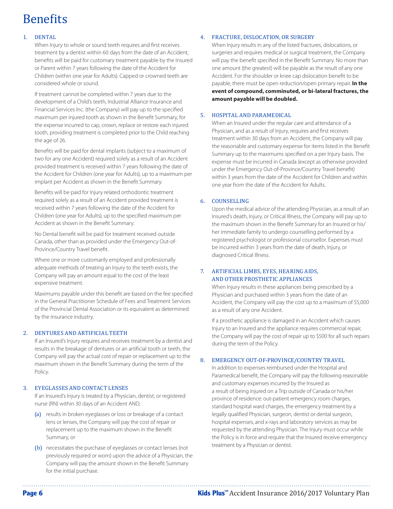## Benefits

### 1. DENTAL

When Injury to whole or sound teeth requires and first receives treatment by a dentist within 60 days from the date of an Accident, benefits will be paid for customary treatment payable by the Insured or Parent within 7 years following the date of the Accident for Children (within one year for Adults). Capped or crowned teeth are considered whole or sound.

If treatment cannot be completed within 7 years due to the development of a Child's teeth, Industrial Alliance Insurance and Financial Services Inc. (the Company) will pay up to the specified maximum per injured tooth as shown in the Benefit Summary, for the expense incurred to cap, crown, replace or restore each injured tooth, providing treatment is completed prior to the Child reaching the age of 26.

Benefits will be paid for dental implants (subject to a maximum of two for any one Accident) required solely as a result of an Accident provided treatment is received within 7 years following the date of the Accident for Children (one year for Adults), up to a maximum per implant per Accident as shown in the Benefit Summary.

Benefits will be paid for Injury related orthodontic treatment required solely as a result of an Accident provided treatment is received within 7 years following the date of the Accident for Children (one year for Adults), up to the specified maximum per Accident as shown in the Benefit Summary.

No Dental benefit will be paid for treatment received outside Canada, other than as provided under the Emergency Out-of-Province/Country Travel benefit.

Where one or more customarily employed and professionally adequate methods of treating an Injury to the teeth exists, the Company will pay an amount equal to the cost of the least expensive treatment.

Maximums payable under this benefit are based on the fee specified in the General Practitioner Schedule of Fees and Treatment Services of the Provincial Dental Association or its equivalent as determined by the insurance industry.

### 2. DENTURES AND ARTIFICIAL TEETH

If an Insured's Injury requires and receives treatment by a dentist and results in the breakage of dentures or an artificial tooth or teeth, the Company will pay the actual cost of repair or replacement up to the maximum shown in the Benefit Summary during the term of the Policy.

#### 3. EYEGLASSES AND CONTACT LENSES

If an Insured's Injury is treated by a Physician, dentist, or registered nurse (RN) within 30 days of an Accident AND;

- (a) results in broken eyeglasses or loss or breakage of a contact lens or lenses, the Company will pay the cost of repair or replacement up to the maximum shown in the Benefit Summary, or
- (b) necessitates the purchase of eyeglasses or contact lenses (not previously required or worn) upon the advice of a Physician, the Company will pay the amount shown in the Benefit Summary for the initial purchase.

#### 4. FRACTURE, DISLOCATION, OR SURGERY

When Injury results in any of the listed fractures, dislocations, or surgeries and requires medical or surgical treatment, the Company will pay the benefit specified in the Benefit Summary. No more than one amount (the greatest) will be payable as the result of any one Accident. For the shoulder or knee cap dislocation benefit to be payable, there must be open reduction/open primary repair. **In the event of compound, comminuted, or bi-lateral fractures, the amount payable will be doubled.**

#### 5. HOSPITAL AND PARAMEDICAL

When an Insured under the regular care and attendance of a Physician, and as a result of Injury, requires and first receives treatment within 30 days from an Accident, the Company will pay the reasonable and customary expense for items listed in the Benefit Summary up to the maximums specified on a per Injury basis. The expense must be incurred in Canada (except as otherwise provided under the Emergency Out-of-Province/Country Travel benefit) within 3 years from the date of the Accident for Children and within one year from the date of the Accident for Adults.

### 6. COUNSELLING

Upon the medical advice of the attending Physician, as a result of an Insured's death, Injury, or Critical Illness, the Company will pay up to the maximum shown in the Benefit Summary for an Insured or his/ her immediate family to undergo counselling performed by a registered psychologist or professional counsellor. Expenses must be incurred within 3 years from the date of death, Injury, or diagnosed Critical Illness.

### 7. ARTIFICIAL LIMBS, EYES, HEARING AIDS, AND OTHER PROSTHETIC APPLIANCES

When Injury results in these appliances being prescribed by a Physician and purchased within 3 years from the date of an Accident, the Company will pay the cost up to a maximum of \$5,000 as a result of any one Accident.

If a prosthetic appliance is damaged in an Accident which causes Injury to an Insured and the appliance requires commercial repair, the Company will pay the cost of repair up to \$500 for all such repairs during the term of the Policy.

### 8. EMERGENCY OUT-OF-PROVINCE/COUNTRY TRAVEL

In addition to expenses reimbursed under the Hospital and Paramedical benefit, the Company will pay the following reasonable and customary expenses incurred by the Insured as a result of being injured on a Trip outside of Canada or his/her province of residence: out-patient emergency room charges, standard hospital ward charges, the emergency treatment by a legally qualified Physician, surgeon, dentist or dental surgeon, hospital expenses, and x-rays and laboratory services as may be requested by the attending Physician. The Injury must occur while the Policy is in force and require that the Insured receive emergency treatment by a Physician or dentist.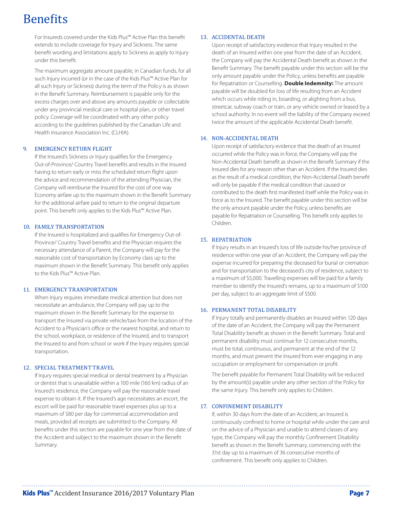### **Benefits**

For Insureds covered under the Kids Plus™ Active Plan this benefit extends to include coverage for Injury and Sickness. The same benefit wording and limitations apply to Sickness as apply to Injury under this benefit.

The maximum aggregate amount payable, in Canadian funds, for all such Injury incurred (or in the case of the Kids Plus™ Active Plan for all such Injury or Sickness) during the term of the Policy is as shown in the Benefit Summary. Reimbursement is payable only for the excess charges over and above any amounts payable or collectable under any provincial medical care or hospital plan, or other travel policy. Coverage will be coordinated with any other policy according to the guidelines published by the Canadian Life and Health Insurance Association Inc. (CLHIA).

### 9. EMERGENCY RETURN FLIGHT

If the Insured's Sickness or Injury qualifies for the Emergency Out-of-Province/ Country Travel benefits and results in the Insured having to return early or miss the scheduled return flight upon the advice and recommendation of the attending Physician, the Company will reimburse the Insured for the cost of one way Economy airfare up to the maximum shown in the Benefit Summary for the additional airfare paid to return to the original departure point. This benefit only applies to the Kids Plus™ Active Plan.

### 10. FAMILY TRANSPORTATION

If the Insured is hospitalized and qualifies for Emergency Out-of-Province/ Country Travel benefits and the Physician requires the necessary attendance of a Parent, the Company will pay for the reasonable cost of transportation by Economy class up to the maximum shown in the Benefit Summary. This benefit only applies to the Kids Plus™ Active Plan.

### 11. EMERGENCY TRANSPORTATION

When Injury requires immediate medical attention but does not necessitate an ambulance, the Company will pay up to the maximum shown in the Benefit Summary for the expense to transport the Insured via private vehicle/taxi from the location of the Accident to a Physician's office or the nearest hospital, and return to the school, workplace, or residence of the Insured, and to transport the Insured to and from school or work if the Injury requires special transportation.

### 12. SPECIAL TREATMENT TRAVEL

If Injury requires special medical or dental treatment by a Physician or dentist that is unavailable within a 100 mile (160 km) radius of an Insured's residence, the Company will pay the reasonable travel expense to obtain it. If the Insured's age necessitates an escort, the escort will be paid for reasonable travel expenses plus up to a maximum of \$80 per day for commercial accommodation and meals, provided all receipts are submitted to the Company. All benefits under this section are payable for one year from the date of the Accident and subject to the maximum shown in the Benefit Summary.

### 13. ACCIDENTAL DEATH

Upon receipt of satisfactory evidence that Injury resulted in the death of an Insured within one year from the date of an Accident, the Company will pay the Accidental Death benefit as shown in the Benefit Summary. The benefit payable under this section will be the only amount payable under the Policy, unless benefits are payable for Repatriation or Counselling. **Double Indemnity:** The amount payable will be doubled for loss of life resulting from an Accident which occurs while riding in, boarding, or alighting from a bus, streetcar, subway coach or train, or any vehicle owned or leased by a school authority. In no event will the liability of the Company exceed twice the amount of the applicable Accidental Death benefit.

### 14. NON-ACCIDENTAL DEATH

Upon receipt of satisfactory evidence that the death of an Insured occurred while the Policy was in force, the Company will pay the Non-Accidental Death benefit as shown in the Benefit Summary if the Insured dies for any reason other than an Accident. If the Insured dies as the result of a medical condition, the Non-Accidental Death benefit will only be payable if the medical condition that caused or contributed to the death first manifested itself while the Policy was in force as to the Insured. The benefit payable under this section will be the only amount payable under the Policy, unless benefits are payable for Repatriation or Counselling. This benefit only applies to Children.

### 15. REPATRIATION

If Injury results in an Insured's loss of life outside his/her province of residence within one year of an Accident, the Company will pay the expense incurred for preparing the deceased for burial or cremation and for transportation to the deceased's city of residence, subject to a maximum of \$5,000. Travelling expenses will be paid for a family member to identify the Insured's remains, up to a maximum of \$100 per day, subject to an aggregate limit of \$500.

#### 16. PERMANENT TOTAL DISABILITY

If Injury totally and permanently disables an Insured within 120 days of the date of an Accident, the Company will pay the Permanent Total Disability benefit as shown in the Benefit Summary. Total and permanent disability must continue for 12 consecutive months, must be total, continuous, and permanent at the end of the 12 months, and must prevent the Insured from ever engaging in any occupation or employment for compensation or profit.

The benefit payable for Permanent Total Disability will be reduced by the amount(s) payable under any other section of the Policy for the same Injury. This benefit only applies to Children.

### 17. CONFINEMENT DISABILITY

If, within 30 days from the date of an Accident, an Insured is continuously confined to home or hospital while under the care and on the advice of a Physician and unable to attend classes of any type, the Company will pay the monthly Confinement Disability benefit as shown in the Benefit Summary, commencing with the 31st day up to a maximum of 36 consecutive months of confinement. This benefit only applies to Children.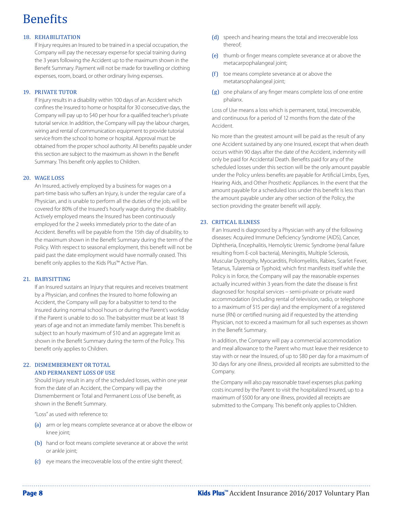### **Benefits**

### 18. REHABILITATION

If Injury requires an Insured to be trained in a special occupation, the Company will pay the necessary expense for special training during the 3 years following the Accident up to the maximum shown in the Benefit Summary. Payment will not be made for travelling or clothing expenses, room, board, or other ordinary living expenses.

### 19. PRIVATE TUTOR

If Injury results in a disability within 100 days of an Accident which confines the Insured to home or hospital for 30 consecutive days, the Company will pay up to \$40 per hour for a qualified teacher's private tutorial service. In addition, the Company will pay the labour charges, wiring and rental of communication equipment to provide tutorial service from the school to home or hospital. Approval must be obtained from the proper school authority. All benefits payable under this section are subject to the maximum as shown in the Benefit Summary. This benefit only applies to Children.

### 20. WAGE LOSS

An Insured, actively employed by a business for wages on a part-time basis who suffers an Injury, is under the regular care of a Physician, and is unable to perform all the duties of the job, will be covered for 80% of the Insured's hourly wage during the disability. Actively employed means the Insured has been continuously employed for the 2 weeks immediately prior to the date of an Accident. Benefits will be payable from the 15th day of disability, to the maximum shown in the Benefit Summary during the term of the Policy. With respect to seasonal employment, this benefit will not be paid past the date employment would have normally ceased. This benefit only applies to the Kids Plus™ Active Plan.

### 21. BABYSITTING

If an Insured sustains an Injury that requires and receives treatment by a Physician, and confines the Insured to home following an Accident, the Company will pay for a babysitter to tend to the Insured during normal school hours or during the Parent's workday if the Parent is unable to do so. The babysitter must be at least 18 years of age and not an immediate family member. This benefit is subject to an hourly maximum of \$10 and an aggregate limit as shown in the Benefit Summary during the term of the Policy. This benefit only applies to Children.

### 22. DISMEMBERMENT OR TOTAL AND PERMANENT LOSS OF USE

Should Injury result in any of the scheduled losses, within one year from the date of an Accident, the Company will pay the Dismemberment or Total and Permanent Loss of Use benefit, as shown in the Benefit Summary.

"Loss" as used with reference to:

- (a) arm or leg means complete severance at or above the elbow or knee joint;
- (b) hand or foot means complete severance at or above the wrist or ankle joint;
- (c) eye means the irrecoverable loss of the entire sight thereof;
- (d) speech and hearing means the total and irrecoverable loss thereof;
- (e) thumb or finger means complete severance at or above the metacarpophalangeal joint;
- (f) toe means complete severance at or above the metatarsophalangeal joint;
- (g) one phalanx of any finger means complete loss of one entire phalanx.

Loss of Use means a loss which is permanent, total, irrecoverable, and continuous for a period of 12 months from the date of the Accident.

No more than the greatest amount will be paid as the result of any one Accident sustained by any one Insured, except that when death occurs within 90 days after the date of the Accident, indemnity will only be paid for Accidental Death. Benefits paid for any of the scheduled losses under this section will be the only amount payable under the Policy unless benefits are payable for Artificial Limbs, Eyes, Hearing Aids, and Other Prosthetic Appliances. In the event that the amount payable for a scheduled loss under this benefit is less than the amount payable under any other section of the Policy, the section providing the greater benefit will apply.

### 23. CRITICAL ILLNESS

If an Insured is diagnosed by a Physician with any of the following diseases: Acquired Immune Deficiency Syndrome (AIDS), Cancer, Diphtheria, Encephalitis, Hemolytic Uremic Syndrome (renal failure resulting from E-coli bacteria), Meningitis, Multiple Sclerosis, Muscular Dystrophy, Myocarditis, Poliomyelitis, Rabies, Scarlet Fever, Tetanus, Tularemia or Typhoid; which first manifests itself while the Policy is in force, the Company will pay the reasonable expenses actually incurred within 3 years from the date the disease is first diagnosed for: hospital services – semi-private or private ward accommodation (including rental of television, radio, or telephone to a maximum of \$15 per day) and the employment of a registered nurse (RN) or certified nursing aid if requested by the attending Physician, not to exceed a maximum for all such expenses as shown in the Benefit Summary.

In addition, the Company will pay a commercial accommodation and meal allowance to the Parent who must leave their residence to stay with or near the Insured, of up to \$80 per day for a maximum of 30 days for any one illness, provided all receipts are submitted to the Company.

the Company will also pay reasonable travel expenses plus parking costs incurred by the Parent to visit the hospitalized Insured, up to a maximum of \$500 for any one illness, provided all receipts are submitted to the Company. This benefit only applies to Children.

**Page 8 Kids Plus™** Accident Insurance 2016/2017 Voluntary Plan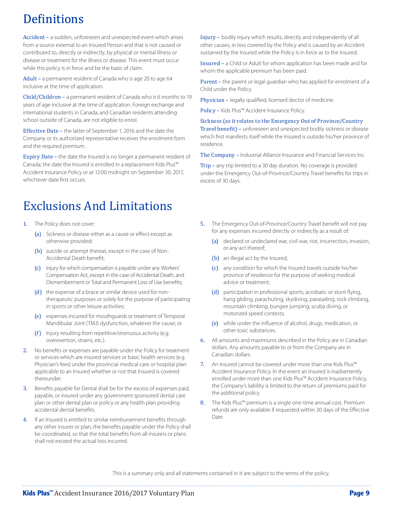## **Definitions**

Accident – a sudden, unforeseen and unexpected event which arises from a source external to an Insured Person and that is not caused or contributed to, directly or indirectly, by physical or mental illness or disease or treatment for the illness or disease. This event must occur while this policy is in force and be the basis of claim.

Adult – a permanent resident of Canada who is age 20 to age 64 inclusive at the time of application.

Child/Children – a permanent resident of Canada who is 6 months to 19 years of age inclusive at the time of application. Foreign exchange and international students in Canada, and Canadian residents attending school outside of Canada, are not eligible to enrol.

Effective Date – the latter of September 1, 2016 and the date the Company or its authorized representative receives the enrolment form and the required premium.

Expiry Date – the date the Insured is no longer a permanent resident of Canada; the date the Insured is enrolled in a replacement Kids Plus™ Accident Insurance Policy or at 12:00 midnight on September 30, 2017, whichever date first occurs.

## Exclusions And Limitations

- 1. The Policy does not cover:
	- (a) Sickness or disease either as a cause or effect except as otherwise provided;
	- (b) suicide or attempt thereat, except in the case of Non-Accidental Death benefit;
	- (c) Injury for which compensation is payable under any Workers' Compensation Act, except in the case of Accidental Death, and Dismemberment or Total and Permanent Loss of Use benefits;
	- (d) the expense of a brace or similar device used for nontherapeutic purposes or solely for the purpose of participating in sports or other leisure activities;
	- (e) expenses incurred for mouthguards or treatment of Temporal Mandibular Joint (TMJ) dysfunction, whatever the cause; or
	- (f) Injury resulting from repetitive/strenuous activity (e.g. overexertion, strains, etc.).
- 2. No benefits or expenses are payable under the Policy for treatment or services which are insured services or basic health services (e.g. Physician's fees) under the provincial medical care or hospital plan applicable to an Insured whether or not that Insured is covered thereunder.
- 3. Benefits payable for Dental shall be for the excess of expenses paid, payable, or insured under any government sponsored dental care plan or other dental plan or policy or any health plan providing accidental dental benefits.
- 4. If an Insured is entitled to similar reimbursement benefits through any other insurer or plan, the benefits payable under the Policy shall be coordinated, so that the total benefits from all insurers or plans shall not exceed the actual loss incurred.

Injury – bodily injury which results, directly and independently of all other causes, in loss covered by the Policy and is caused by an Accident sustained by the Insured while the Policy is in force as to the Insured.

Insured – a Child or Adult for whom application has been made and for whom the applicable premium has been paid.

Parent – the parent or legal guardian who has applied for enrolment of a Child under the Policy.

Physician – legally qualified, licensed doctor of medicine.

Policy – Kids Plus™ Accident Insurance Policy.

Sickness (as it relates to the Emergency Out of Province/Country Travel benefit) – unforeseen and unexpected bodily sickness or disease which first manifests itself while the Insured is outside his/her province of residence.

The Company – Industrial Alliance Insurance and Financial Services Inc.

Trip – any trip limited to a 30 day duration. No coverage is provided under the Emergency Out-of-Province/Country Travel benefits for trips in excess of 30 days.

- 5. The Emergency Out-of-Province/Country Travel benefit will not pay for any expenses incurred directly or indirectly as a result of:
	- (a) declared or undeclared war, civil war, riot, insurrection, invasion, or any act thereof;
	- (b) an illegal act by the Insured;
	- (c) any condition for which the Insured travels outside his/her province of residence for the purpose of seeking medical advice or treatment;
	- (d) participation in professional sports, acrobatic or stunt flying, hang gliding, parachuting, skydiving, parasailing, rock climbing, mountain climbing, bungee jumping, scuba diving, or motorized speed contests;
	- (e) while under the influence of alcohol, drugs, medication, or other toxic substances.
- 6. All amounts and maximums described in the Policy are in Canadian dollars. Any amounts payable to or from the Company are in Canadian dollars.
- 7. An Insured cannot be covered under more than one Kids Plus™ Accident Insurance Policy. In the event an Insured is inadvertently enrolled under more than one Kids Plus™ Accident Insurance Policy, the Company's liability is limited to the return of premiums paid for the additional policy.
- 8. The Kids Plus<sup>™</sup> premium is a single one-time annual cost. Premium refunds are only available if requested within 30 days of the Effective Date.

This is a summary only and all statements contained in it are subject to the terms of the policy.

**Kids Plus™** Accident Insurance 2016/2017 Voluntary Plan **Page 9**